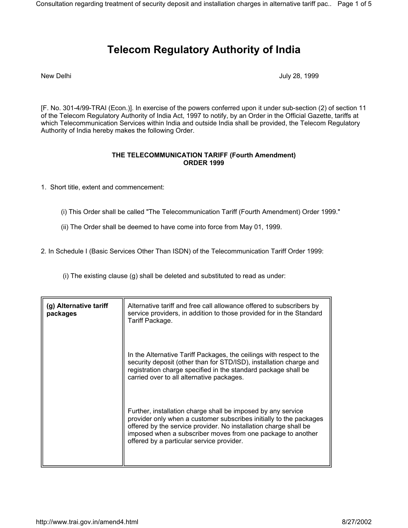## **Telecom Regulatory Authority of India**

New Delhi **New Delhi** July 28, 1999

[F. No. 301-4/99-TRAI (Econ.)]. In exercise of the powers conferred upon it under sub-section (2) of section 11 of the Telecom Regulatory Authority of India Act, 1997 to notify, by an Order in the Official Gazette, tariffs at which Telecommunication Services within India and outside India shall be provided, the Telecom Regulatory Authority of India hereby makes the following Order.

## **THE TELECOMMUNICATION TARIFF (Fourth Amendment) ORDER 1999**

1. Short title, extent and commencement:

- (i) This Order shall be called "The Telecommunication Tariff (Fourth Amendment) Order 1999."
- (ii) The Order shall be deemed to have come into force from May 01, 1999.

2*.* In Schedule I (Basic Services Other Than ISDN) of the Telecommunication Tariff Order 1999:

(i) The existing clause (g) shall be deleted and substituted to read as under:

| (g) Alternative tariff<br>packages | Alternative tariff and free call allowance offered to subscribers by<br>service providers, in addition to those provided for in the Standard<br>Tariff Package.                                                                                                                                                    |
|------------------------------------|--------------------------------------------------------------------------------------------------------------------------------------------------------------------------------------------------------------------------------------------------------------------------------------------------------------------|
|                                    | In the Alternative Tariff Packages, the ceilings with respect to the<br>security deposit (other than for STD/ISD), installation charge and<br>registration charge specified in the standard package shall be<br>carried over to all alternative packages.                                                          |
|                                    | Further, installation charge shall be imposed by any service<br>provider only when a customer subscribes initially to the packages<br>offered by the service provider. No installation charge shall be<br>imposed when a subscriber moves from one package to another<br>offered by a particular service provider. |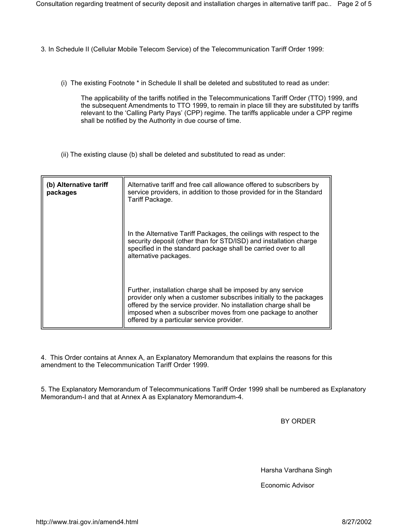- 3*.* In Schedule II (Cellular Mobile Telecom Service) of the Telecommunication Tariff Order 1999:
	- (i) The existing Footnote \* in Schedule II shall be deleted and substituted to read as under:

The applicability of the tariffs notified in the Telecommunications Tariff Order (TTO) 1999, and the subsequent Amendments to TTO 1999, to remain in place till they are substituted by tariffs relevant to the 'Calling Party Pays' (CPP) regime. The tariffs applicable under a CPP regime shall be notified by the Authority in due course of time.

(ii) The existing clause (b) shall be deleted and substituted to read as under:

| (b) Alternative tariff<br>packages | Alternative tariff and free call allowance offered to subscribers by<br>service providers, in addition to those provided for in the Standard<br>Tariff Package.                                                                                                                                                    |
|------------------------------------|--------------------------------------------------------------------------------------------------------------------------------------------------------------------------------------------------------------------------------------------------------------------------------------------------------------------|
|                                    | In the Alternative Tariff Packages, the ceilings with respect to the<br>security deposit (other than for STD/ISD) and installation charge<br>specified in the standard package shall be carried over to all<br>alternative packages.                                                                               |
|                                    | Further, installation charge shall be imposed by any service<br>provider only when a customer subscribes initially to the packages<br>offered by the service provider. No installation charge shall be<br>imposed when a subscriber moves from one package to another<br>offered by a particular service provider. |

4. This Order contains at Annex A, an Explanatory Memorandum that explains the reasons for this amendment to the Telecommunication Tariff Order 1999.

5. The Explanatory Memorandum of Telecommunications Tariff Order 1999 shall be numbered as Explanatory Memorandum-I and that at Annex A as Explanatory Memorandum-4.

BY ORDER

Harsha Vardhana Singh

Economic Advisor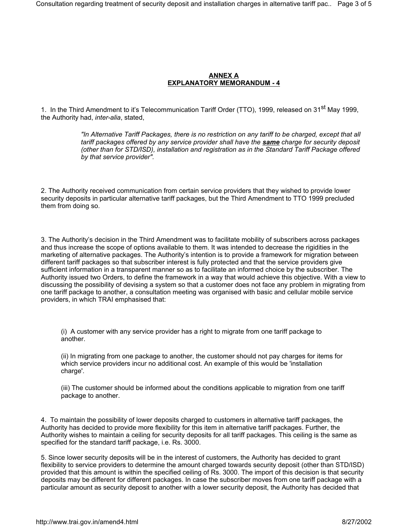## **ANNEX A EXPLANATORY MEMORANDUM - 4**

1. In the Third Amendment to it's Telecommunication Tariff Order (TTO), 1999, released on 31<sup>st</sup> Mav 1999. the Authority had, *inter-alia*, stated,

> *"In Alternative Tariff Packages, there is no restriction on any tariff to be charged, except that all tariff packages offered by any service provider shall have the same charge for security deposit (other than for STD/ISD), installation and registration as in the Standard Tariff Package offered by that service provider".*

2. The Authority received communication from certain service providers that they wished to provide lower security deposits in particular alternative tariff packages, but the Third Amendment to TTO 1999 precluded them from doing so.

3. The Authority's decision in the Third Amendment was to facilitate mobility of subscribers across packages and thus increase the scope of options available to them. It was intended to decrease the rigidities in the marketing of alternative packages. The Authority's intention is to provide a framework for migration between different tariff packages so that subscriber interest is fully protected and that the service providers give sufficient information in a transparent manner so as to facilitate an informed choice by the subscriber. The Authority issued two Orders, to define the framework in a way that would achieve this objective. With a view to discussing the possibility of devising a system so that a customer does not face any problem in migrating from one tariff package to another, a consultation meeting was organised with basic and cellular mobile service providers, in which TRAI emphasised that:

(i) A customer with any service provider has a right to migrate from one tariff package to another.

(ii) In migrating from one package to another, the customer should not pay charges for items for which service providers incur no additional cost. An example of this would be 'installation charge'.

(iii) The customer should be informed about the conditions applicable to migration from one tariff package to another.

4. To maintain the possibility of lower deposits charged to customers in alternative tariff packages, the Authority has decided to provide more flexibility for this item in alternative tariff packages. Further, the Authority wishes to maintain a ceiling for security deposits for all tariff packages. This ceiling is the same as specified for the standard tariff package, i.e. Rs. 3000.

5. Since lower security deposits will be in the interest of customers, the Authority has decided to grant flexibility to service providers to determine the amount charged towards security deposit (other than STD/ISD) provided that this amount is within the specified ceiling of Rs. 3000. The import of this decision is that security deposits may be different for different packages. In case the subscriber moves from one tariff package with a particular amount as security deposit to another with a lower security deposit, the Authority has decided that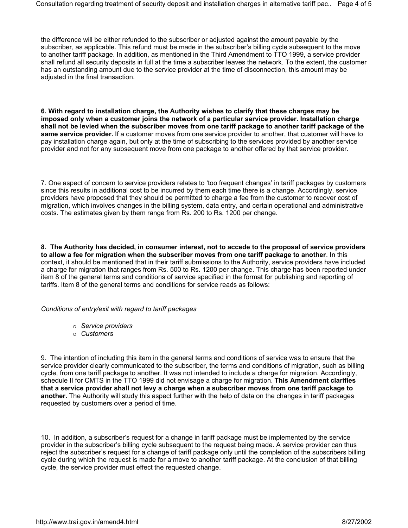the difference will be either refunded to the subscriber or adjusted against the amount payable by the subscriber, as applicable. This refund must be made in the subscriber's billing cycle subsequent to the move to another tariff package. In addition, as mentioned in the Third Amendment to TTO 1999, a service provider shall refund all security deposits in full at the time a subscriber leaves the network. To the extent, the customer has an outstanding amount due to the service provider at the time of disconnection, this amount may be adjusted in the final transaction.

**6. With regard to installation charge, the Authority wishes to clarify that these charges may be imposed only when a customer joins the network of a particular service provider. Installation charge shall not be levied when the subscriber moves from one tariff package to another tariff package of the same service provider.** If a customer moves from one service provider to another, that customer will have to pay installation charge again, but only at the time of subscribing to the services provided by another service provider and not for any subsequent move from one package to another offered by that service provider.

7. One aspect of concern to service providers relates to 'too frequent changes' in tariff packages by customers since this results in additional cost to be incurred by them each time there is a change. Accordingly, service providers have proposed that they should be permitted to charge a fee from the customer to recover cost of migration, which involves changes in the billing system, data entry, and certain operational and administrative costs. The estimates given by them range from Rs. 200 to Rs. 1200 per change.

**8. The Authority has decided, in consumer interest, not to accede to the proposal of service providers to allow a fee for migration when the subscriber moves from one tariff package to another**. In this context, it should be mentioned that in their tariff submissions to the Authority, service providers have included a charge for migration that ranges from Rs. 500 to Rs. 1200 per change. This charge has been reported under item 8 of the general terms and conditions of service specified in the format for publishing and reporting of tariffs. Item 8 of the general terms and conditions for service reads as follows:

## *Conditions of entry/exit with regard to tariff packages*

- { *Service providers*
- { *Customers*

9. The intention of including this item in the general terms and conditions of service was to ensure that the service provider clearly communicated to the subscriber, the terms and conditions of migration, such as billing cycle, from one tariff package to another. It was not intended to include a charge for migration. Accordingly, schedule II for CMTS in the TTO 1999 did not envisage a charge for migration. **This Amendment clarifies that a service provider shall not levy a charge when a subscriber moves from one tariff package to another.** The Authority will study this aspect further with the help of data on the changes in tariff packages requested by customers over a period of time.

10. In addition, a subscriber's request for a change in tariff package must be implemented by the service provider in the subscriber's billing cycle subsequent to the request being made. A service provider can thus reject the subscriber's request for a change of tariff package only until the completion of the subscribers billing cycle during which the request is made for a move to another tariff package. At the conclusion of that billing cycle, the service provider must effect the requested change.